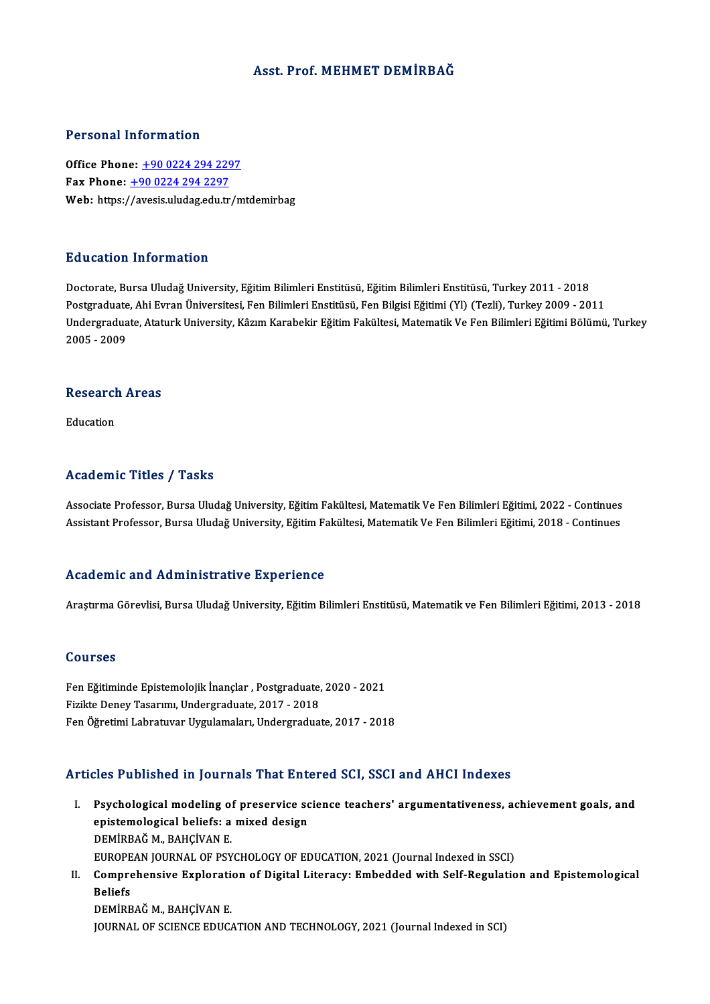### Asst. Prof. MEHMET DEMİRBAĞ

#### Personal Information

**Personal Information<br>Office Phone: +90 0224 294 2297<br>Fay Phone: +90 0224 294 2297** Fax Phone: <u>+90 0224 294 229</u><br>Fax Phone: <u>+90 0224 294 2297</u><br>Web: https://avesis.uludas.edu.tr Fax Phone:  $\pm$ 90 0224 294 2297<br>Web: https:/[/avesis.uludag.edu.tr/m](tel:+90 0224 294 2297)tdemirbag

#### Education Information

Doctorate, Bursa Uludağ University, Eğitim Bilimleri Enstitüsü, Eğitim Bilimleri Enstitüsü, Turkey 2011 - 2018 Pu u sutron "Informution"<br>Doctorate, Bursa Uludağ University, Eğitim Bilimleri Enstitüsü, Eğitim Bilimleri Enstitüsü, Turkey 2011 - 2018<br>Postgraduate, Ahi Evran Üniversitesi, Fen Bilimleri Enstitüsü, Fen Bilgisi Eğitimi (Y Undergraduate, Ataturk University, Kâzım Karabekir Eğitim Fakültesi, Matematik Ve Fen Bilimleri Eğitimi Bölümü, Turkey<br>2005 - 2009 Postgraduate<br>Undergradua<br>2005 - 2009

## 2005 - 2009<br>Research Areas Re<mark>searc</mark>l<br>Education

# Academic Titles / Tasks

Associate Professor, Bursa Uludağ University, Eğitim Fakültesi, Matematik Ve Fen Bilimleri Eğitimi, 2022 - Continues Assistant Professor, Bursa Uludağ University, Eğitim Fakültesi, Matematik Ve Fen Bilimleri Eğitimi, 2018 - Continues

#### Academic and Administrative Experience

Araştırma Görevlisi, Bursa Uludağ University, Eğitim Bilimleri Enstitüsü, Matematik ve Fen Bilimleri Eğitimi, 2013 - 2018

#### Courses

Courses<br>Fen Eğitiminde Epistemolojik İnançlar , Postgraduate, 2020 - 2021<br>Firikte Deney Tesarımı, Undergraduate, 2017, 2019 FizikteDeneyTasarımı,Undergraduate,2017 -2018 Fen Eğitiminde Epistemolojik İnançlar , Postgraduate, 2020 - 2021<br>Fizikte Deney Tasarımı, Undergraduate, 2017 - 2018<br>Fen Öğretimi Labratuvar Uygulamaları, Undergraduate, 2017 - 2018

## Fen Öğretimi Labratuvar Uygulamaları, Undergraduate, 2017 - 2018<br>Articles Published in Journals That Entered SCI, SSCI and AHCI Indexes

- rticles Published in Journals That Entered SCI, SSCI and AHCI Indexes<br>I. Psychological modeling of preservice science teachers' argumentativeness, achievement goals, and<br>enistemalagical beliefs: a mixed design epistemological modeling of preservice sc<br>epistemological beliefs: a mixed design<br>DEMIPRAČ M. RAHCIVAN E Psychological modeling o:<br>epistemological beliefs: a<br>DEMİRBAĞ M., BAHÇİVAN E.<br>EUROPEAN JOUPNAL OF PSY epistemological beliefs: a mixed design<br>DEMİRBAĞ M., BAHÇİVAN E.<br>EUROPEAN JOURNAL OF PSYCHOLOGY OF EDUCATION, 2021 (Journal Indexed in SSCI) DEMİRBAĞ M., BAHÇİVAN E.<br>EUROPEAN JOURNAL OF PSYCHOLOGY OF EDUCATION, 2021 (Journal Indexed in SSCI)<br>II. Comprehensive Exploration of Digital Literacy: Embedded with Self-Regulation and Epistemological<br>Reliefe
- EUROPE<br>Compre<br>Beliefs<br>DEMIPP Comprehensive Explorati<br>Beliefs<br>DEMİRBAĞ M., BAHÇİVAN E.<br>JOUPNAL OF SCIENCE EDUC Beliefs<br>DEMİRBAĞ M., BAHÇİVAN E.<br>JOURNAL OF SCIENCE EDUCATION AND TECHNOLOGY, 2021 (Journal Indexed in SCI)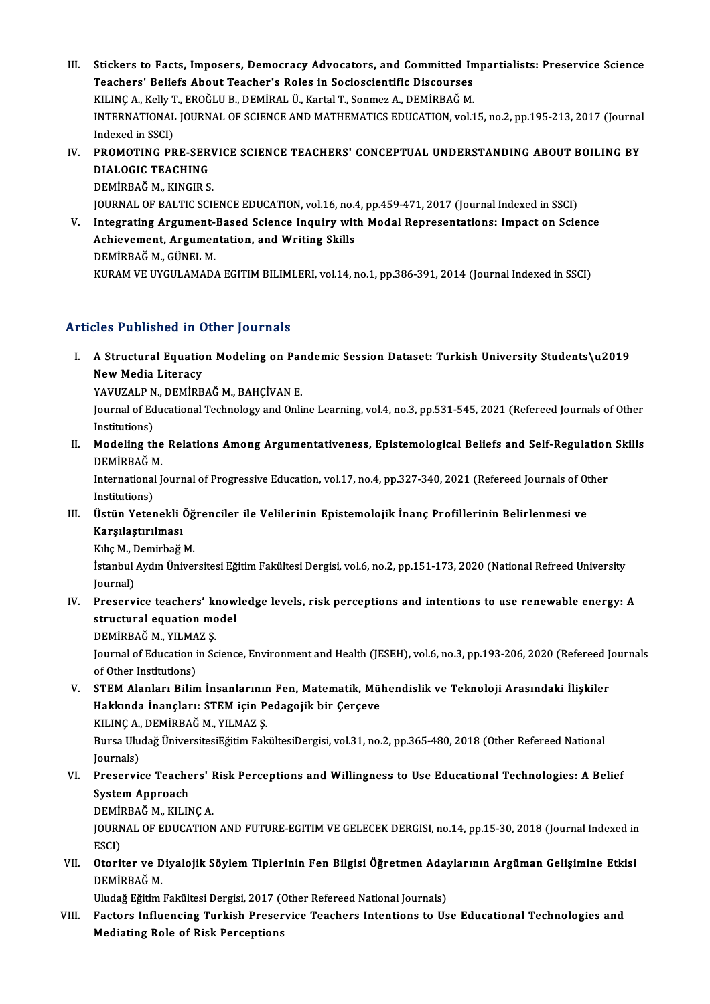- III. Stickers to Facts, Imposers, Democracy Advocators, and Committed Impartialists: Preservice Science<br>Teachers' Peliafe About Teacher's Poles in Sociossiontific Discourses Stickers to Facts, Imposers, Democracy Advocators, and Committed In<br>Teachers' Beliefs About Teacher's Roles in Socioscientific Discourses<br>KU ING A. Kally T. EROČU U B. DEMIRAL Ü. Kartal T. Sonman A. DEMIRRAČ M Stickers to Facts, Imposers, Democracy Advocators, and Committed In<br>Teachers' Beliefs About Teacher's Roles in Socioscientific Discourses<br>KILINÇ A., Kelly T., EROĞLU B., DEMİRAL Ü., Kartal T., Sonmez A., DEMİRBAĞ M.<br>INTERN Teachers' Beliefs About Teacher's Roles in Socioscientific Discourses<br>KILINÇ A., Kelly T., EROĞLU B., DEMİRAL Ü., Kartal T., Sonmez A., DEMİRBAĞ M.<br>INTERNATIONAL JOURNAL OF SCIENCE AND MATHEMATICS EDUCATION, vol.15, no.2, KILINC A., Kelly T., EROĞLU B., DEMİRAL Ü., Kartal T., Sonmez A., DEMİRBAĞ M. INTERNATIONAL JOURNAL OF SCIENCE AND MATHEMATICS EDUCATION, vol.15, no.2, pp.195-213, 2017 (Journal Indexed in SSCI)<br>IV. PROMOTING PRE-SERVICE SCIENCE TEACHERS' CONCEPTUAL UNDERSTANDING ABOUT BOILING BY<br>PLALOCIC TEACHING
- Indexed in SSCI)<br>PROMOTING PRE-SER<br>DIALOGIC TEACHING<br>DEMIPRAČ M. KINCIP S PROMOTING PRE-SER<mark>\</mark><br>DIALOGIC TEACHING<br>DEMİRBAĞ M., KINGIR S.<br>JOUPNAL OF PALTIC SCII DIALOGIC TEACHING<br>DEMİRBAĞ M., KINGIR S.<br>JOURNAL OF BALTIC SCIENCE EDUCATION, vol.16, no.4, pp.459-471, 2017 (Journal Indexed in SSCI)<br>Integrating Argument Based Science Inquiry with Model Benresentations: Impect on Scie

DEMİRBAĞ M., KINGIR S.<br>JOURNAL OF BALTIC SCIENCE EDUCATION, vol.16, no.4, pp.459-471, 2017 (Journal Indexed in SSCI)<br>V. Integrating Argument-Based Science Inquiry with Modal Representations: Impact on Science<br>Achieveme JOURNAL OF BALTIC SCIENCE EDUCATION, vol.16, no.4<br>Integrating Argument-Based Science Inquiry wit<br>Achievement, Argumentation, and Writing Skills<br>REMIPRAČ M. CÜNEL M Integrating Argument-<br>Achievement, Argumen<br>DEMİRBAĞ M., GÜNEL M.<br>FURAM VE UYCULAMAD Achievement, Argumentation, and Writing Skills<br>DEMİRBAĞ M., GÜNEL M.<br>KURAM VE UYGULAMADA EGITIM BILIMLERI, vol.14, no.1, pp.386-391, 2014 (Journal Indexed in SSCI)

## Articles Published in Other Journals

rticles Published in Other Journals<br>I. A Structural Equation Modeling on Pandemic Session Dataset: Turkish University Students\u2019<br>Now Media Literacy New Yourselou III<br>A Structural Equatio<br>New Media Literacy<br>YAWIZALR N. DEMIDR A Structural Equation Modeling on Par<br>New Media Literacy<br>YAVUZALP N., DEMİRBAĞ M., BAHÇİVAN E.<br>Journal of Educational Technology and Onli

New Media Literacy<br>YAVUZALP N., DEMİRBAĞ M., BAHÇİVAN E.<br>Journal of Educational Technology and Online Learning, vol.4, no.3, pp.531-545, 2021 (Refereed Journals of Other<br>Institutions) YAVUZALP N<br>Journal of Ed<br>Institutions)<br>Modeling th Journal of Educational Technology and Online Learning, vol.4, no.3, pp.531-545, 2021 (Refereed Journals of Other<br>Institutions)<br>II. Modeling the Relations Among Argumentativeness, Epistemological Beliefs and Self-Regulation

Institutions)<br>Modeling the<br>DEMİRBAĞ M.<br>International I Modeling the Relations Among Argumentativeness, Epistemological Beliefs and Self-Regulation<br>DEMİRBAĞ M.<br>International Journal of Progressive Education, vol.17, no.4, pp.327-340, 2021 (Refereed Journals of Other<br>Institution

DEMİRBAĞ M.<br>International Journal of Progressive Education, vol.17, no.4, pp.327-340, 2021 (Refereed Journals of Other<br>Institutions) International Journal of Progressive Education, vol.17, no.4, pp.327-340, 2021 (Refereed Journals of Other Institutions)<br>III. Üstün Yetenekli Öğrenciler ile Velilerinin Epistemolojik İnanç Profillerinin Belirlenmesi ve<br>Kar

Institutions)<br>Üstün Yetenekli (<br>Karşılaştırılması<br><sup>Kılıa M.</sup> Demirbeğ Üstün Yetenekli Öğ<br>Karşılaştırılması<br>Kılıç M., Demirbağ M.<br>İstanbul Ardın Üniver

Karşılaştırılması<br>Kılıç M., Demirbağ M.<br>İstanbul Aydın Üniversitesi Eğitim Fakültesi Dergisi, vol.6, no.2, pp.151-173, 2020 (National Refreed University<br>Journal) Kılıç M., I<br>İstanbul<br>Journal)<br>Preserv Istanbul Aydın Üniversitesi Eğitim Fakültesi Dergisi, vol.6, no.2, pp.151-173, 2020 (National Refreed University<br>Journal)<br>IV. Preservice teachers' knowledge levels, risk perceptions and intentions to use renewable energy:

- Journal)<br>Preservice teachers' know<br>structural equation model<br>DEMIPPAČ M. VILMAZ S Preservice teachers' ki<br>structural equation mo<br>DEMİRBAĞ M., YILMAZ Ş.<br>Journal of Education in Sa
	- DEMIRBAĞ M, YILMAZ Ş

structural equation model<br>DEMİRBAĞ M., YILMAZ Ş.<br>Journal of Education in Science, Environment and Health (JESEH), vol.6, no.3, pp.193-206, 2020 (Refereed Journals<br>of Other Institutions) Journal of Education in Science, Environment and Health (JESEH), vol.6, no.3, pp.193-206, 2020 (Refereed J<br>of Other Institutions)<br>V. STEM Alanları Bilim İnsanlarının Fen, Matematik, Mühendislik ve Teknoloji Arasındaki İliş

of Other Institutions)<br>STEM Alanları Bilim İnsanlarının Fen, Matematik, Mül<br>Hakkında İnançları: STEM için Pedagojik bir Çerçeve<br>KU INC A, DEMİRRAČ M, YU MAZ S Hakkında İnançları: STEM için Pedagojik bir Çerçeve<br>KILINÇ A., DEMİRBAĞ M., YILMAZ Ş. Hakkında İnançları: STEM için Pedagojik bir Çerçeve<br>KILINÇ A., DEMİRBAĞ M., YILMAZ Ş.<br>Bursa Uludağ ÜniversitesiEğitim FakültesiDergisi, vol.31, no.2, pp.365-480, 2018 (Other Refereed National<br>Journals)

KILINÇ A.,<br>Bursa Ulu<br>Journals)<br>Prosorvi Bursa Uludağ ÜniversitesiEğitim FakültesiDergisi, vol.31, no.2, pp.365-480, 2018 (Other Refereed National Journals)<br>Journals)<br>VI. Preservice Teachers' Risk Perceptions and Willingness to Use Educational Technologies: A Bel

## Journals)<br>Preservice Teache<br>System Approach<br>DEM<sup>ippAČM VII D</sup> Preservice Teachers' I<br>System Approach<br>DEMİRBAĞ M., KILINÇ A.<br>JOUPNAL OE EDUCATION

System Approach<br>DEMİRBAĞ M., KILINÇ A.<br>JOURNAL OF EDUCATION AND FUTURE-EGITIM VE GELECEK DERGISI, no.14, pp.15-30, 2018 (Journal Indexed in<br>ESCD DEMI<br>JOURN<br>ESCI)<br>Oterii JOURNAL OF EDUCATION AND FUTURE-EGITIM VE GELECEK DERGISI, no.14, pp.15-30, 2018 (Journal Indexed in<br>ESCI)<br>VII. Otoriter ve Diyalojik Söylem Tiplerinin Fen Bilgisi Öğretmen Adaylarının Argüman Gelişimine Etkisi<br>DEMİRRAĞM

ESCI)<br>Otoriter ve D<br>DEMİRBAĞ M.<br>Uludağ Eğitim Otoriter ve Diyalojik Söylem Tiplerinin Fen Bilgisi Öğretmen Aday<br>DEMİRBAĞ M.<br>Uludağ Eğitim Fakültesi Dergisi, 2017 (Other Refereed National Journals)<br>Festars Influensing Tunkiah Presenvise Teachers Intentions to Ha

Uludağ Eğitim Fakültesi Dergisi, 2017 (Other Refereed National Journals)

DEMİRBAĞ M.<br>Uludağ Eğitim Fakültesi Dergisi, 2017 (Other Refereed National Journals)<br>VIII. Factors Influencing Turkish Preservice Teachers Intentions to Use Educational Technologies and<br>Mediating Role of Risk Perceptions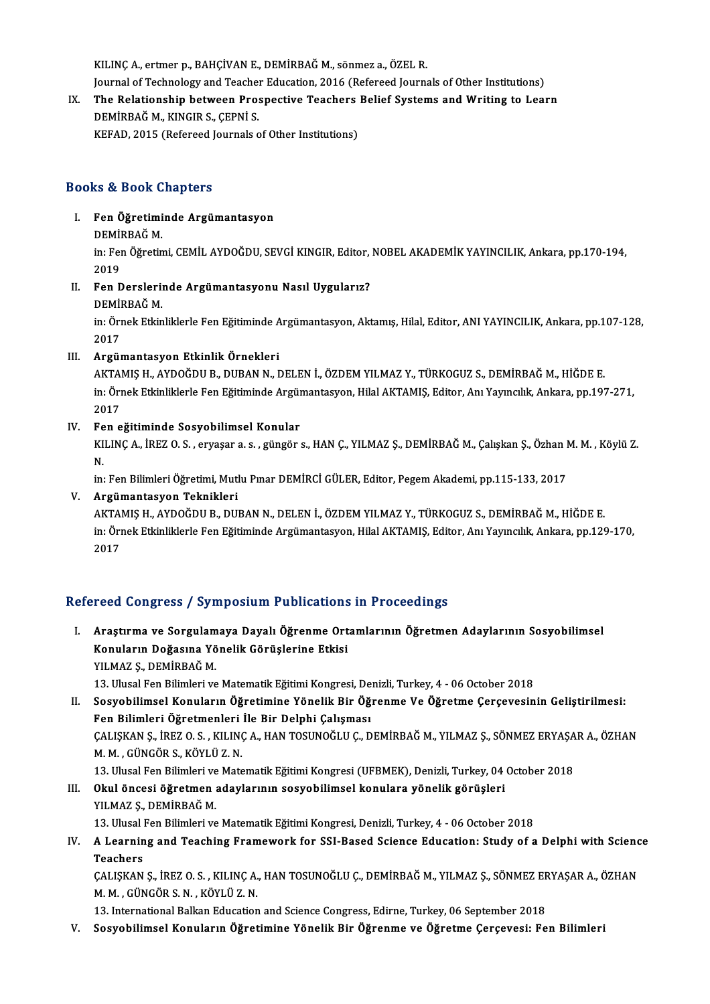KILINÇA.,ertmer p.,BAHÇİVANE.,DEMİRBAĞM., sönmez a.,ÖZELR. KILINÇ A., ertmer p., BAHÇİVAN E., DEMİRBAĞ M., sönmez a., ÖZEL R.<br>Journal of Technology and Teacher Education, 2016 (Refereed Journals of Other Institutions)<br>The Pelstionship between Brospestive Teashers Belief Systems an KILINÇ A., ertmer p., BAHÇİVAN E., DEMİRBAĞ M., sönmez a., ÖZEL R.<br>Journal of Technology and Teacher Education, 2016 (Refereed Journals of Other Institutions)<br>IX. The Relationship between Prospective Teachers Belief System

## Journal of Technology and Teacher<br>The Relationship between Pro:<br>DEMİRBAĞ M., KINGIR S., ÇEPNİ S.<br>KERAD 2015 (Roforeed Journals e IX. The Relationship between Prospective Teachers Belief Systems and Writing to Learn<br>DEMIRBAĞ M., KINGIR S., ÇEPNI S.<br>KEFAD, 2015 (Refereed Journals of Other Institutions)

## Books&Book Chapters

- I. Fen Öğretiminde Argümantasyon rs & Boon<br>Fen Öğretimi<br>DEMİRBAĞ M.<br>in: Fen Öğretin
	-

in: Fen Öğretimi, CEMİL AYDOĞDU, SEVGİ KINGIR, Editor, NOBEL AKADEMİK YAYINCILIK, Ankara, pp.170-194,<br>2019 DEMI<br>in: Fer<br>2019<br>Een in: Fen Öğretimi, CEMİL AYDOĞDU, SEVGİ KINGIR, Editor,<br>2019<br>II. Fen Derslerinde Argümantasyonu Nasıl Uygularız?<br>DEMİPBAĞ M

2019<br>Fen Dersleri<br>DEMİRBAĞ M.<br>in: Örnek Etkin

Fen Derslerinde Argümantasyonu Nasıl Uygularız?<br>DEMİRBAĞ M.<br>in: Örnek Etkinliklerle Fen Eğitiminde Argümantasyon, Aktamış, Hilal, Editor, ANI YAYINCILIK, Ankara, pp.107-128, DEMİ<br>in: Öri<br>2017<br>Argün

## 2017<br>III. Argümantasyon Etkinlik Örnekleri

2017<br><mark>Argümantasyon Etkinlik Örnekleri</mark><br>AKTAMIŞ H., AYDOĞDU B., DUBAN N., DELEN İ., ÖZDEM YILMAZ Y., TÜRKOGUZ S., DEMİRBAĞ M., HİĞDE E.<br>in Örnek Etkinliklerle Een Eğitiminde Argümantasyon, Hilal AKTAMIŞ, Editor, An Veynerl in: Örnek Etkinliklerle Fen Eğitiminde Argümantasyon, Hilal AKTAMIŞ, Editor, Anı Yayıncılık, Ankara, pp.197-271,<br>2017 AKTA<br>in: Öri<br>2017<br>Een e

### IV. Fen eğitiminde Sosyobilimsel Konular

KILINÇ A., İREZ O. S. , eryaşar a. s. , güngör s., HAN Ç., YILMAZ Ş., DEMİRBAĞ M., Çalışkan Ş., Özhan M. M. , Köylü Z.<br>N. Fe<br>KI<br>N.

in:FenBilimleriÖğretimi,MutluPınarDEMİRCİGÜLER,Editor,PegemAkademi,pp.115-133,2017

### V. Argümantasyon Teknikleri

in: Fen Bilimleri Öğretimi, Mutlu Pınar DEMİRCİ GÜLER, Editor, Pegem Akademi, pp.115-133, 2017<br><mark>Argümantasyon Teknikleri</mark><br>AKTAMIŞ H., AYDOĞDU B., DUBAN N., DELEN İ., ÖZDEM YILMAZ Y., TÜRKOGUZ S., DEMİRBAĞ M., HİĞDE E.<br>in: Argümantasyon Teknikleri<br>AKTAMIŞ H., AYDOĞDU B., DUBAN N., DELEN İ., ÖZDEM YILMAZ Y., TÜRKOGUZ S., DEMİRBAĞ M., HİĞDE E.<br>in: Örnek Etkinliklerle Fen Eğitiminde Argümantasyon, Hilal AKTAMIŞ, Editor, Anı Yayıncılık, Ankara, AKTAl<br>in: Örı<br>2017

# 2017<br>Refereed Congress / Symposium Publications in Proceedings

efereed Congress / Symposium Publications in Proceedings<br>I. Araştırma ve Sorgulamaya Dayalı Öğrenme Ortamlarının Öğretmen Adaylarının Sosyobilimsel<br>Konuların Doğasına Yönelik Görüslerine Etkisi reca dongress 7 symposium i ushcation.<br>Araştırma ve Sorgulamaya Dayalı Öğrenme Ort<br>Konuların Doğasına Yönelik Görüşlerine Etkisi<br>VILMAZ S. DEMİPPAČM Araştırma ve Sorgulam<br>Konuların Doğasına Yö<br>YILMAZ Ş., DEMİRBAĞ M.<br>12 Ulucal Fon Pilimləri ve Konuların Doğasına Yönelik Görüşlerine Etkisi<br>YILMAZ Ş., DEMİRBAĞ M.<br>13. Ulusal Fen Bilimleri ve Matematik Eğitimi Kongresi, Denizli, Turkey, 4 - 06 October 2018<br>Sesyebilimsel Konuların Öğretimine Yönelik Bir Öğrenme Ve Öğ

IILMAZ Ş., DEMİRBAĞ M.<br>13. Ulusal Fen Bilimleri ve Matematik Eğitimi Kongresi, Denizli, Turkey, 4 - 06 October 2018<br>II. Sosyobilimsel Konuların Öğretimine Yönelik Bir Öğrenme Ve Öğretme Çerçevesinin Geliştirilmesi:<br>Fen B 13. Ulusal Fen Bilimleri ve Matematik Eğitimi Kongresi, De<br>Sosyobilimsel Konuların Öğretimine Yönelik Bir Öğ<br>Fen Bilimleri Öğretmenleri İle Bir Delphi Çalışması<br>CALISKAN S. İPEZO S., KUJNCA, HAN TOSUNOČLU C. D Sosyobilimsel Konuların Öğretimine Yönelik Bir Öğrenme Ve Öğretme Çerçevesinin Geliştirilmesi:<br>Fen Bilimleri Öğretmenleri İle Bir Delphi Çalışması<br>ÇALIŞKAN Ş., İREZ O. S. , KILINÇ A., HAN TOSUNOĞLU Ç., DEMİRBAĞ M., YILMAZ Fen Bilimleri Öğretmenleri<br>ÇALIŞKAN Ş., İREZ O. S. , KILINO<br>M. M. , GÜNGÖR S., KÖYLÜ Z. N.<br>12. Ulucal Fan Bilimleri ve Mate ÇALIŞKAN Ş., İREZ O. S. , KILINÇ A., HAN TOSUNOĞLU Ç., DEMİRBAĞ M., YILMAZ Ş., SÖNMEZ ERYAŞA<br>M. M. , GÜNGÖR S., KÖYLÜ Z. N.<br>13. Ulusal Fen Bilimleri ve Matematik Eğitimi Kongresi (UFBMEK), Denizli, Turkey, 04 October 2018<br>

## M. M. , GÜNGÖR S., KÖYLÜ Z. N.<br>13. Ulusal Fen Bilimleri ve Matematik Eğitimi Kongresi (UFBMEK), Denizli, Turkey, 04<br>III. Okul öncesi öğretmen adaylarının sosyobilimsel konulara yönelik görüşleri<br>VII MAZ S. DEMİRRAČ M 13. Ulusal Fen Bilimleri ve<br>Okul õncesi öğretmen<br>YILMAZ Ş., DEMİRBAĞ M.<br>13. Ulusal Fan Bilimleri ve 0kul öncesi öğretmen adaylarının sosyobilimsel konulara yönelik görüşleri<br>YILMAZ Ş., DEMİRBAĞ M.<br>13. Ulusal Fen Bilimleri ve Matematik Eğitimi Kongresi, Denizli, Turkey, 4 - 06 October 2018<br>A.Loarning and Tooching Enemower

YILMAZ Ș., DEMİRBAĞ M.<br>13. Ulusal Fen Bilimleri ve Matematik Eğitimi Kongresi, Denizli, Turkey, 4 - 06 October 2018<br>IV. A Learning and Teaching Framework for SSI-Based Science Education: Study of a Delphi with Science<br> 13. Ulusal I<br>**A Learnin<br>Teachers**<br>CALISKAN A Learning and Teaching Framework for SSI-Based Science Education: Study of a Delphi with Scienc<br>Teachers<br>ÇALIŞKAN Ş., İREZ O.S. , KILINÇ A., HAN TOSUNOĞLU Ç., DEMİRBAĞ M., YILMAZ Ş., SÖNMEZ ERYAŞAR A., ÖZHAN<br>M. M. CÜNCÖR

Teachers<br>ÇALIŞKAN Ş., İREZ O. S. , KILINÇ A., HAN TOSUNOĞLU Ç., DEMİRBAĞ M., YILMAZ Ş., SÖNMEZ ERYAŞAR A., ÖZHAN<br>M. M. , GÜNGÖR S. N. , KÖYLÜ Z. N.

13. International Balkan Education and Science Congress, Edirne, Turkey, 06 September 2018

V. Sosyobilimsel Konuların Öğretimine Yönelik Bir Öğrenme ve Öğretme Çerçevesi: Fen Bilimleri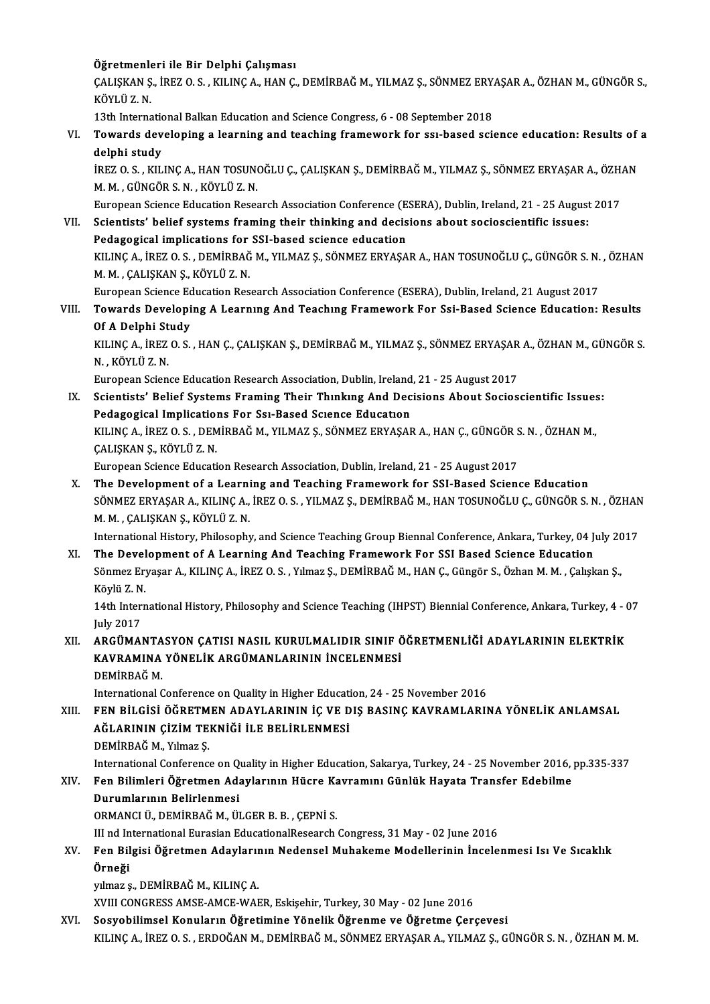## Öğretmenleri ile Bir Delphi Çalışması<br>CALISKAN S. İBEZ Q S. KU INC A. HAN C

Öğretmenleri ile Bir Delphi Çalışması<br>ÇALIŞKAN Ş., İREZ O. S. , KILINÇ A., HAN Ç., DEMİRBAĞ M., YILMAZ Ş., SÖNMEZ ERYAŞAR A., ÖZHAN M., GÜNGÖR S.,<br>KÖYLÜ 7. N **Öğretmenle<br>ÇALIŞKAN Ş<br>KÖYLÜ Z. N.**<br>12th Interna CALISKAN S., İREZ O. S. , KILINÇ A., HAN Ç., DEMİRBAĞ M., YILMAZ S., SÖNMEZ ERY.<br>KÖYLÜ Z. N.<br>13th International Balkan Education and Science Congress, 6 - 08 September 2018<br>Towards developing a learning and teashing framew

KÖYLÜ Z. N.<br>13th International Balkan Education and Science Congress, 6 - 08 September 2018<br>VI. Towards developing a learning and teaching framework for ssı-based science education: Results of a<br>delphi study 13th Internation<br>Towards dev<br>delphi study<br>ipezos ku Towards developing a learning and teaching framework for ssı-based science education: Results of<br>delphi study<br>İREZ O.S., KILINÇ A., HAN TOSUNOĞLU Ç., ÇALIŞKAN Ş., DEMİRBAĞ M., YILMAZ Ş., SÖNMEZ ERYAŞAR A., ÖZHAN<br>M. M. CÜNC

delphi study<br>İREZ O. S. , KILINÇ A., HAN TOSUNOĞLU Ç., ÇALIŞKAN Ş., DEMİRBAĞ M., YILMAZ Ş., SÖNMEZ ERYAŞAR A., ÖZHAN<br>M. M. , GÜNGÖR S. N. , KÖYLÜ Z. N. İREZ O. S. , KILINÇ A., HAN TOSUNOĞLU Ç., ÇALIŞKAN Ş., DEMİRBAĞ M., YILMAZ Ş., SÖNMEZ ERYAŞAR A., ÖZH.<br>M. M. , GÜNGÖR S. N. , KÖYLÜ Z. N.<br>European Science Education Research Association Conference (ESERA), Dublin, Ireland,

## VII. Scientists' belief systems framing their thinking and decisions about socioscientific issues: European Science Education Research Association Conference (E.<br>Scientists' belief systems framing their thinking and decis<br>Pedagogical implications for SSI-based science education<br>FULINC A JREZOS DEMIRRAČM VUMAZS SÖNMEZERV KILINÇ A., İREZ O. S. , DEMİRBAĞ M., YILMAZ Ş., SÖNMEZ ERYAŞAR A., HAN TOSUNOĞLU Ç., GÜNGÖR S. N. , ÖZHAN M. M. , ALIŞKAN Ş., KÖYLÜ Z. N. Pedagogical implications for SSI-based science education KILINÇ A., İREZ O. S. , DEMİRBAĞ M., YILMAZ Ş., SÖNMEZ ERYAŞAR A., HAN TOSUNOĞLU Ç., GÜNGÖR S. N.<br>M. M. , ÇALIŞKAN Ş., KÖYLÜ Z. N.<br>European Science Education Research Association Conference (ESERA), Dublin, Ireland, 21 Aug

VIII. Towards Developing A Learning And Teaching Framework For Ssi-Based Science Education: Results European Science Ec<br>Towards Developi<br>Of A Delphi Study<br>KU INC A JBEZO S

Towards Developing A Learning And Teaching Framework For Ssi-Based Science Education: Results<br>Of A Delphi Study<br>KILINÇ A., İREZ O. S. , HAN Ç., ÇALIŞKAN Ş., DEMİRBAĞ M., YILMAZ Ş., SÖNMEZ ERYAŞAR A., ÖZHAN M., GÜNGÖR S.<br>N. Of A Delphi Study<br>KILINÇ A., İREZ O. S. , HAN Ç., ÇALIŞKAN Ş., DEMİRBAĞ M., YILMAZ Ş., SÖNMEZ ERYAŞAR<br>N. , KÖYLÜ Z. N.<br>European Science Education Research Association, Dublin, Ireland, 21 - 25 August 2017 KILINÇ A., İREZ O. S. , HAN Ç., ÇALIŞKAN Ş., DEMİRBAĞ M., YILMAZ Ş., SÖNMEZ ERYAŞAR<br>N. , KÖYLÜ Z. N.<br>European Science Education Research Association, Dublin, Ireland, 21 - 25 August 2017<br>Scientiste' Bolief Systems Enaming

N. , KÖYLÜ Z. N.<br>European Science Education Research Association, Dublin, Ireland, 21 - 25 August 2017<br>IX. Scientists' Belief Systems Framing Their Thınkıng And Decisions About Socioscientific Issues:<br>Redegesiael Implicati European Science Education Research Association, Dublin, Ireland<br>Scientists' Belief Systems Framing Their Thinking And Dec<br>Pedagogical Implications For Ssi-Based Science Education<br>FULINC A JREZOS, DEMIRRAČM, VILMAZS, SÖNME Scientists' Belief Systems Framing Their Thınkıng And Decisions About Socioscientific Issues<br>Pedagogical Implications For Ssı-Based Science Education<br>KILINÇ A., İREZ O. S. , DEMİRBAĞ M., YILMAZ Ş., SÖNMEZ ERYAŞAR A., HAN Ç Pedagogical Implications For Ssi-Based Science Education<br>KILINÇ A., İREZ O. S. , DEMİRBAĞ M., YILMAZ Ş., SÖNMEZ ERYAŞAR A., HAN Ç., GÜNGÖR :<br>ÇALIŞKAN Ş., KÖYLÜ Z. N.<br>European Science Education Research Association, Dublin, KILINÇA, İREZ O.S., DEMİRBAĞM., YILMAZ Ş., SÖNMEZ ERYAŞARA, HAN Ç., GÜNGÖR S.N., ÖZHAN M.,

X. The Development of a Learning and Teaching Framework for SSI-Based Science Education European Science Education Research Association, Dublin, Ireland, 21 - 25 August 2017<br>The Development of a Learning and Teaching Framework for SSI-Based Science Education<br>SÖNMEZ ERYAŞAR A., KILINÇ A., İREZ O. S. , YILMAZ Ş The Development of a Learni<br>SÖNMEZ ERYAŞAR A., KILINÇ A.,<br>M. M. , ÇALIŞKAN Ş., KÖYLÜ Z. N.<br>International History, Philosophy SÖNMEZ ERYAŞAR A., KILINÇ A., İREZ O. S. , YILMAZ Ş., DEMİRBAĞ M., HAN TOSUNOĞLU Ç., GÜNGÖR S. N. , ÖZHAN<br>M. M. , ÇALIŞKAN Ş., KÖYLÜ Z. N.<br>International History, Philosophy, and Science Teaching Group Biennal Conference, A

M. M., ÇALIŞKAN Ş., KÖYLÜ Z. N.<br>International History, Philosophy, and Science Teaching Group Biennal Conference, Ankara, Turkey, 04 J<br>XI. The Development of A Learning And Teaching Framework For SSI Based Science Educatio International History, Philosophy, and Science Teaching Group Biennal Conference, Ankara, Turkey, 04 July 2017<br>The Development of A Learning And Teaching Framework For SSI Based Science Education<br>Sönmez Eryaşar A., KILINÇ The Devel<br>Sönmez Er<sub>l</sub><br>Köylü Z. N.<br>14th Intern Sönmez Eryaşar A., KILINÇ A., İREZ O. S. , Yılmaz Ş., DEMİRBAĞ M., HAN Ç., Güngör S., Özhan M. M. , Çalışkan Ş.,<br>Köylü Z. N.<br>14th International History, Philosophy and Science Teaching (IHPST) Biennial Conference, Ankara,

Köylü Z. N<br>14th Inter<br>July 2017<br>ABCÜMAL

July 2017<br>XII. ARGÜMANTASYON ÇATISI NASIL KURULMALIDIR SINIF ÖĞRETMENLİĞİ ADAYLARININ ELEKTRİK July 2017<br>ARGÜMANTASYON ÇATISI NASIL KURULMALIDIR SINIF Ö<br>KAVRAMINA YÖNELİK ARGÜMANLARININ İNCELENMESİ<br>PEMİPBAĞM ARGÜMANTA<br>KAVRAMINA<br>DEMİRBAĞ M.<br>International (

DEMİRBAĞ M.<br>International Conference on Quality in Higher Education, 24 - 25 November 2016

DEMİRBAĞ M.<br>International Conference on Quality in Higher Education, 24 - 25 November 2016<br>XIII. FEN BİLGİSİ ÖĞRETMEN ADAYLARININ İÇ VE DIŞ BASINÇ KAVRAMLARINA YÖNELİK ANLAMSAL<br>AĞI ARININ CİZİM TEKNİĞİ İLE PELİDI ENMESİ International Conference on Quality in Higher Educati<br>FEN BİLGİSİ ÖĞRETMEN ADAYLARININ İÇ VE D<br>AĞLARININ ÇİZİM TEKNİĞİ İLE BELİRLENMESİ<br>DEMİPPAĞ M. Yılmaz S FEN BİLGİSİ ÖĞRETM<br>AĞLARININ ÇİZİM TE<br>DEMİRBAĞ M., Yılmaz Ş.<br>International Cenference AĞLARININ ÇİZİM TEKNİĞİ İLE BELİRLENMESİ<br>DEMİRBAĞ M., Yılmaz Ş.<br>International Conference on Quality in Higher Education, Sakarya, Turkey, 24 - 25 November 2016, pp.335-337<br>Fen Bilimleri Öğretmen Adaylarının Hüsre Kayremını

DEMİRBAĞ M., Yılmaz Ş.<br>International Conference on Quality in Higher Education, Sakarya, Turkey, 24 - 25 November 2016, [20]<br>XIV. Fen Bilimleri Öğretmen Adaylarının Hücre Kavramını Günlük Hayata Transfer Edebilme<br>Durumla International Conference on Q<br>Fen Bilimleri Öğretmen Ada<br>Durumlarının Belirlenmesi<br>OPMANCLÜ DEMİPPAČ M. Ül Fen Bilimleri Öğretmen Adaylarının Hücre Kavramını Günlük Hayata Transfer Edebilme<br>Durumlarının Belirlenmesi<br>ORMANCI Ü., DEMİRBAĞ M., ÜLGER B. B. , CEPNİ S.

Durumlarının Belirlenmesi<br>ORMANCI Ü., DEMİRBAĞ M., ÜLGER B. B. , ÇEPNİ S.<br>III nd International Eurasian EducationalResearch Congress, 31 May - 02 June 2016<br>Een Bilgisi Öğretmen Adevlarının Nedensel Muhakame Medellerinin İn

## XV. Fen Bilgisi Öğretmen Adaylarının Nedensel Muhakeme Modellerinin İncelenmesi Isı Ve Sıcaklık<br>Örneği III nd In<br><mark>Fen Bil</mark><br>Örneği<br>Elmez s

yılmaz ş., DEMİRBAĞ M., KILINÇ A.

XVIII CONGRESS AMSE-AMCE-WAER, Eskişehir, Turkey, 30 May - 02 June 2016

XVI. Sosyobilimsel Konuların Öğretimine Yönelik Öğrenme ve Öğretme Çerçevesi KILINÇA., İREZ O.S., ERDOĞAN M., DEMİRBAĞ M., SÖNMEZ ERYAŞAR A., YILMAZ Ş., GÜNGÖR S.N., ÖZHAN M.M.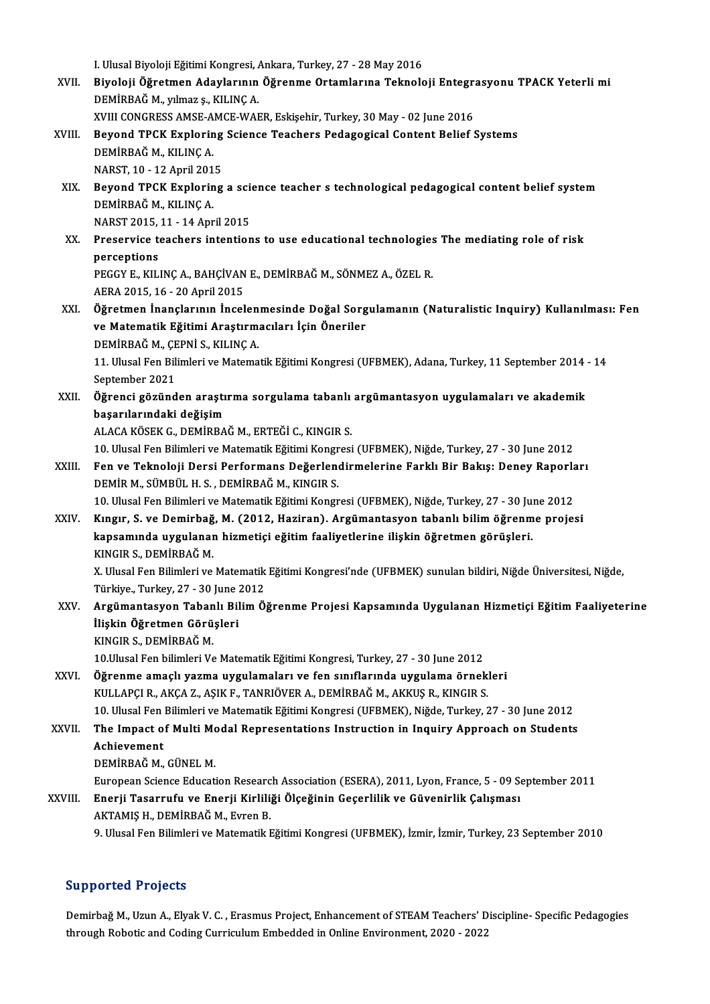I. Ulusal Biyoloji Eğitimi Kongresi, Ankara, Turkey, 27 - 28 May 2016 I. Ulusal Biyoloji Eğitimi Kongresi, Ankara, Turkey, 27 - 28 May 2016<br>XVII. Biyoloji Öğretmen Adaylarının Öğrenme Ortamlarına Teknoloji Entegrasyonu TPACK Yeterli mi I. Ulusal Biyoloji Eğitimi Kongresi, *I*<br>Biyoloji Öğretmen Adaylarının<br>DEMİRBAĞ M., yılmaz ş., KILINÇ A.<br>YVIII CONCRESS AMSE AMGE WAR Biyoloji Öğretmen Adaylarının Öğrenme Ortamlarına Teknoloji Entegra<br>DEMİRBAĞ M., yılmaz ş., KILINÇ A.<br>XVIII CONGRESS AMSE-AMCE-WAER, Eskişehir, Turkey, 30 May - 02 June 2016<br>Beyend TBCK Euplening Ssiense Teashers Pedagogis DEMİRBAĞ M., yılmaz ş., KILINÇ A.<br>XVIII. CONGRESS AMSE-AMCE-WAER, Eskişehir, Turkey, 30 May - 02 June 2016<br>XVIII. Beyond TPCK Exploring Science Teachers Pedagogical Content Belief Systems<br>REMİRRAĞ M. KILINC A XVIII CONGRESS AMSE-AMCE-WAER, Eskişehir, Turkey, 30 May - 02 June 2016<br>Beyond TPCK Exploring Science Teachers Pedagogical Content Belief<br>DEMİRBAĞ M., KILINÇ A. Beyond TPCK Exploring<br>DEMİRBAĞ M., KILINÇ A.<br>NARST, 10 - 12 April 2015<br>Beyond TBCK Exploring XIX. Beyond TPCK Exploring a science teacher s technological pedagogical content belief system NARST, 10 - 12 April 2015 NARST2015,11 -14April2015 DEMİRBAĞ M., KILINÇ A.<br>NARST 2015, 11 - 14 April 2015<br>XX. Preservice teachers intentions to use educational technologies The mediating role of risk NARST 2015,<br>Preservice to<br>perceptions Preservice teachers intentions to use educational technologies<br>perceptions<br>PEGGY E., KILINÇ A., BAHÇİVAN E., DEMİRBAĞ M., SÖNMEZ A., ÖZEL R.<br>AERA 2015-16 - 20 April 2015 perceptions<br>PEGGY E., KILINÇ A., BAHÇİVAN E., DEMİRBAĞ M., SÖNMEZ A., ÖZEL R.<br>AERA 2015, 16 - 20 April 2015 PEGGY E., KILINÇ A., BAHÇİVAN E., DEMİRBAĞ M., SÖNMEZ A., ÖZEL R.<br>AERA 2015, 16 - 20 April 2015<br>XXI. Öğretmen İnançlarının İncelenmesinde Doğal Sorgulamanın (Naturalistic Inquiry) Kullanılması: Fen<br>ve Matematik Eğitimi Are AERA 2015, 16 - 20 April 2015<br>Öğretmen İnançlarının İncelenmesinde Doğal Sorg<br>ve Matematik Eğitimi Araştırmacıları İçin Öneriler<br>DEMİPPAČ M. GEPNİ S. KU ING A Öğretmen İnançlarının İncelen<br>ve Matematik Eğitimi Araştırm<br>DEMİRBAĞ M., ÇEPNİ S., KILINÇ A.<br>11 Hlucal Fon Bilimleri ve Matema ve Matematik Eğitimi Araştırmacıları İçin Öneriler<br>DEMİRBAĞ M., ÇEPNİ S., KILINÇ A.<br>11. Ulusal Fen Bilimleri ve Matematik Eğitimi Kongresi (UFBMEK), Adana, Turkey, 11 September 2014 - 14<br>September 2021 DEMİRBAĞ M., ÇEPNİ S., KILINÇ A. 11. Ulusal Fen Bilimleri ve Matematik Eğitimi Kongresi (UFBMEK), Adana, Turkey, 11 September 2014<br>September 2021<br>XXII. Öğrenci gözünden araştırma sorgulama tabanlı argümantasyon uygulamaları ve akademik<br>besarılarındaki doğ September 2021<br>Öğrenci gözünden araştı<br>başarılarındaki değişim<br>ALACA KÖSEK C. DEMİPPA Öğrenci gözünden araştırma sorgulama tabanlı<br>başarılarındaki değişim<br>ALACA KÖSEK G., DEMİRBAĞ M., ERTEĞİ C., KINGIR S.<br>10 Ulucal Fon Pilimleri ve Matematik Fğitimi Kongresi başarılarındaki değişim<br>ALACA KÖSEK G., DEMİRBAĞ M., ERTEĞİ C., KINGIR S.<br>10. Ulusal Fen Bilimleri ve Matematik Eğitimi Kongresi (UFBMEK), Niğde, Turkey, 27 - 30 June 2012<br>Fen ve Teknoloji Dersi Berfermans Değerlendirmeler XLACA KÖSEK G., DEMİRBAĞ M., ERTEĞİ C., KINGIR S.<br>10. Ulusal Fen Bilimleri ve Matematik Eğitimi Kongresi (UFBMEK), Niğde, Turkey, 27 - 30 June 2012<br>XXIII. Fen ve Teknoloji Dersi Performans Değerlendirmelerine Farklı Bi 10. Ulusal Fen Bilimleri ve Matematik Eğitimi Kongr<br>Fen ve Teknoloji Dersi Performans Değerlend<br>DEMİR M., SÜMBÜL H. S. , DEMİRBAĞ M., KINGIR S.<br>10. Ulusal Fen Bilimleri ve Matematik Eğitimi Kongr Fen ve Teknoloji Dersi Performans Değerlendirmelerine Farklı Bir Bakış: Deney Raporla<br>DEMİR M., SÜMBÜL H. S. , DEMİRBAĞ M., KINGIR S.<br>10. Ulusal Fen Bilimleri ve Matematik Eğitimi Kongresi (UFBMEK), Niğde, Turkey, 27 - 30 DEMİR M., SÜMBÜL H. S. , DEMİRBAĞ M., KINGIR S.<br>10. Ulusal Fen Bilimleri ve Matematik Eğitimi Kongresi (UFBMEK), Niğde, Turkey, 27 - 30 June 2012<br>XXIV. Kıngır, S. ve Demirbağ, M. (2012, Haziran). Argümantasyon tabanlı bili 10. Ulusal Fen Bilimleri ve Matematik Eğitimi Kongresi (UFBMEK), Niğde, Turkey, 27 - 30 Ju:<br>Kıngır, S. ve Demirbağ, M. (2012, Haziran). Argümantasyon tabanlı bilim öğrenm<br>kapsamında uygulanan hizmetiçi eğitim faaliyetlerin Kıngır, S. ve Demirbağ, M. (2012, Haziran). Argümantasyon tabanlı bilim öğrenme projesi<br>kapsamında uygulanan hizmetiçi eğitim faaliyetlerine ilişkin öğretmen görüşleri.<br>KINGIR S., DEMİRBAĞ M. kapsamında uygulanan hizmetiçi eğitim faaliyetlerine ilişkin öğretmen görüşleri.<br>KINGIR S., DEMİRBAĞ M.<br>X. Ulusal Fen Bilimleri ve Matematik Eğitimi Kongresi'nde (UFBMEK) sunulan bildiri, Niğde Üniversitesi, Niğde, KINGIR S., DEMİRBAĞ M.<br>X. Ulusal Fen Bilimleri ve Matematik<br>Türkiye., Turkey, 27 - 30 June 2012<br>Argümantasıyon Tobanlı Bilim Ö. X. Ulusal Fen Bilimleri ve Matematik Eğitimi Kongresi'nde (UFBMEK) sunulan bildiri, Niğde Üniversitesi, Niğde,<br>Türkiye., Turkey, 27 - 30 June 2012<br>XXV. — Argümantasyon Tabanlı Bilim Öğrenme Projesi Kapsamında Uygulanan Hiz Türkiye, Turkey, 27 - 30 June :<br>Argümantasyon Tabanlı Bil<br>İlişkin Öğretmen Görüşleri<br>ENGER S. DEMİRRAĞ M Argümantasyon Taban<br>İlişkin Öğretmen Görü<br>KINGIR S., DEMİRBAĞ M.<br>10 Ulusal Fan bilimləri Ve İlişkin Öğretmen Görüşleri<br>KINGIR S., DEMİRBAĞ M.<br>10.Ulusal Fen bilimleri Ve Matematik Eğitimi Kongresi, Turkey, 27 - 30 June 2012<br>Öğrenme amaslı yaşma uygulamaları ve fan sınıflarında uygulama örneli KINGIR S., DEMİRBAĞ M.<br>10.Ulusal Fen bilimleri Ve Matematik Eğitimi Kongresi, Turkey, 27 - 30 June 2012<br>XXVI. Öğrenme amaçlı yazma uygulamaları ve fen sınıflarında uygulama örnekleri<br>2000 - VIII LARÇI B. AKÇA Z. ASIV E. TA 10.Ulusal Fen bilimleri Ve Matematik Eğitimi Kongresi, Turkey, 27 - 30 June 2012<br>Öğrenme amaçlı yazma uygulamaları ve fen sınıflarında uygulama örnek<br>KULLAPÇI R., AKÇA Z., AŞIK F., TANRIÖVER A., DEMİRBAĞ M., AKKUŞ R., KING Öğrenme amaçlı yazma uygulamaları ve fen sınıflarında uygulama örnekleri<br>KULLAPÇI R., AKÇA Z., AŞIK F., TANRIÖVER A., DEMİRBAĞ M., AKKUŞ R., KINGIR S.<br>10. Ulusal Fen Bilimleri ve Matematik Eğitimi Kongresi (UFBMEK), Niğde, KULLAPÇI R., AKÇA Z., AŞIK F., TANRIÖVER A., DEMİRBAĞ M., AKKUŞ R., KINGIR S.<br>10. Ulusal Fen Bilimleri ve Matematik Eğitimi Kongresi (UFBMEK), Niğde, Turkey, 27 - 30 June 2012<br>XXVII. The Impact of Multi Modal Represent 10. Ulusal Fen<br>The Impact of<br>Achievement<br>DEMIPPAČ M The Impact of Multi Modal Representations Instruction in Inquiry Approach on Students<br>Achievement<br>DEMİRBAĞ M., GÜNEL M. Achievement<br>DEMİRBAĞ M., GÜNEL M.<br>European Science Education Research Association (ESERA), 2011, Lyon, France, 5 - 09 September 2011<br>Enerii Teserrufu ve Enerii Kirliliği Ölseğinin Ceserlilik ve Cüyenirlik Celismesı XXVIII. Enerji Tasarrufu ve Enerji Kirliliği Ölçeğinin Geçerlilik ve Güvenirlik Çalışması<br>AKTAMIŞ H., DEMİRBAĞ M., Evren B. European Science Education Researc<br><mark>Enerji Tasarrufu ve Enerji Kirlili</mark>;<br>AKTAMIŞ H., DEMİRBAĞ M., Evren B.<br>9. Ulucal Fon Bilimleri ve Matematik I 9. Ulusal Fen Bilimleri ve Matematik Eğitimi Kongresi (UFBMEK), İzmir, İzmir, Turkey, 23 September 2010

### Supported Projects

Demirbağ M., Uzun A., Elyak V. C., Erasmus Project, Enhancement of STEAM Teachers' Discipline-Specific Pedagogies through Robotic and Coding Curriculum Embedded in Online Environment, 2020 - 2022